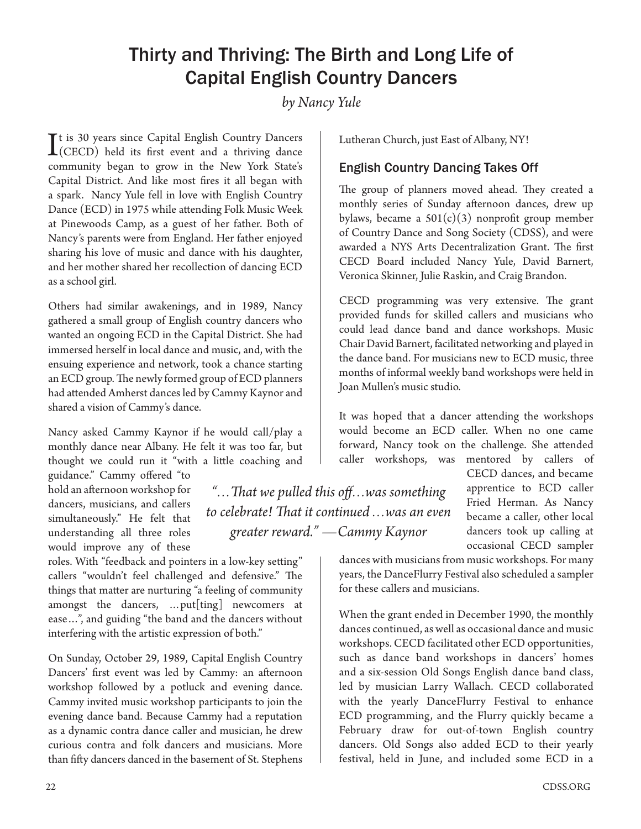## Thirty and Thriving: The Birth and Long Life of Capital English Country Dancers

*by Nancy Yule*

It is 30 years since Capital English Country Dancers<br>(CECD) held its first event and a thriving dance (CECD) held its first event and a thriving dance community began to grow in the New York State's Capital District. And like most fires it all began with a spark. Nancy Yule fell in love with English Country Dance (ECD) in 1975 while attending Folk Music Week at Pinewoods Camp, as a guest of her father. Both of Nancy's parents were from England. Her father enjoyed sharing his love of music and dance with his daughter, and her mother shared her recollection of dancing ECD as a school girl.

Others had similar awakenings, and in 1989, Nancy gathered a small group of English country dancers who wanted an ongoing ECD in the Capital District. She had immersed herself in local dance and music, and, with the ensuing experience and network, took a chance starting an ECD group. The newly formed group of ECD planners had attended Amherst dances led by Cammy Kaynor and shared a vision of Cammy's dance.

Nancy asked Cammy Kaynor if he would call/play a monthly dance near Albany. He felt it was too far, but thought we could run it "with a little coaching and guidance." Cammy offered "to

hold an afternoon workshop for dancers, musicians, and callers simultaneously." He felt that understanding all three roles would improve any of these

roles. With "feedback and pointers in a low-key setting" callers "wouldn't feel challenged and defensive." The things that matter are nurturing "a feeling of community amongst the dancers, …put[ting] newcomers at ease…", and guiding "the band and the dancers without interfering with the artistic expression of both."

On Sunday, October 29, 1989, Capital English Country Dancers' first event was led by Cammy: an afternoon workshop followed by a potluck and evening dance. Cammy invited music workshop participants to join the evening dance band. Because Cammy had a reputation as a dynamic contra dance caller and musician, he drew curious contra and folk dancers and musicians. More than fifty dancers danced in the basement of St. Stephens

Lutheran Church, just East of Albany, NY!

## English Country Dancing Takes Off

The group of planners moved ahead. They created a monthly series of Sunday afternoon dances, drew up bylaws, became a  $501(c)(3)$  nonprofit group member of Country Dance and Song Society (CDSS), and were awarded a NYS Arts Decentralization Grant. The first CECD Board included Nancy Yule, David Barnert, Veronica Skinner, Julie Raskin, and Craig Brandon.

CECD programming was very extensive. The grant provided funds for skilled callers and musicians who could lead dance band and dance workshops. Music Chair David Barnert, facilitated networking and played in the dance band. For musicians new to ECD music, three months of informal weekly band workshops were held in Joan Mullen's music studio.

It was hoped that a dancer attending the workshops would become an ECD caller. When no one came forward, Nancy took on the challenge. She attended caller workshops, was mentored by callers of

*"…That we pulled this off…was something to celebrate! That it continued …was an even greater reward." —Cammy Kaynor*

CECD dances, and became apprentice to ECD caller Fried Herman. As Nancy became a caller, other local dancers took up calling at occasional CECD sampler

dances with musicians from music workshops. For many years, the DanceFlurry Festival also scheduled a sampler for these callers and musicians.

When the grant ended in December 1990, the monthly dances continued, as well as occasional dance and music workshops. CECD facilitated other ECD opportunities, such as dance band workshops in dancers' homes and a six-session Old Songs English dance band class, led by musician Larry Wallach. CECD collaborated with the yearly DanceFlurry Festival to enhance ECD programming, and the Flurry quickly became a February draw for out-of-town English country dancers. Old Songs also added ECD to their yearly festival, held in June, and included some ECD in a